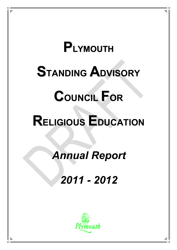# **PLYMOUTH STANDING ADVISORY**

# **COUNCIL FOR**

# **RELIGIOUS EDUCATION**

## *Annual Report*

### *2011 - 2012*

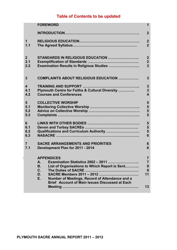### **Table of Contents to be updated**

|                         | <b>FOREWORD</b>                                                                                                                                                                                                                                                      | 1                                                      |
|-------------------------|----------------------------------------------------------------------------------------------------------------------------------------------------------------------------------------------------------------------------------------------------------------------|--------------------------------------------------------|
|                         |                                                                                                                                                                                                                                                                      | $\overline{2}$                                         |
| $\mathbf 1$             |                                                                                                                                                                                                                                                                      | $\boldsymbol{2}$                                       |
| 1.1                     |                                                                                                                                                                                                                                                                      | $\overline{2}$                                         |
| $\overline{2}$          | STANDARDS IN RELIGIOUS EDUCATION                                                                                                                                                                                                                                     | $\boldsymbol{2}$                                       |
| 2.1                     |                                                                                                                                                                                                                                                                      | $\boldsymbol{2}$                                       |
| 2.2                     | Examination Results in Religious Studies                                                                                                                                                                                                                             | $\overline{3}$                                         |
| 3                       | COMPLAINTS ABOUT RELIGIOUS EDUCATION                                                                                                                                                                                                                                 | $\mathbf{3}$                                           |
| $\overline{\mathbf{4}}$ |                                                                                                                                                                                                                                                                      | $\mathbf{3}$                                           |
| 4.1                     | Plymouth Centre for Faiths & Cultural Diversity                                                                                                                                                                                                                      | $\overline{\mathbf{3}}$                                |
| 4.2                     | <b>Courses and Conferences</b>                                                                                                                                                                                                                                       | $\overline{\mathbf{4}}$                                |
| 5                       | <b>COLLECTIVE WORSHIP</b>                                                                                                                                                                                                                                            | 5                                                      |
| 5.1                     |                                                                                                                                                                                                                                                                      | 5                                                      |
| 5.2                     |                                                                                                                                                                                                                                                                      | 5                                                      |
| 5.3                     |                                                                                                                                                                                                                                                                      | 5                                                      |
| 6                       |                                                                                                                                                                                                                                                                      | 5                                                      |
| 6.1                     |                                                                                                                                                                                                                                                                      | 5                                                      |
| 6.2                     | Qualifications and Curriculum Authority                                                                                                                                                                                                                              | 5                                                      |
| 6.3                     |                                                                                                                                                                                                                                                                      | 6                                                      |
| $\overline{7}$          | <b>SACRE ARRANGEMENTS AND PRIORITIES</b>                                                                                                                                                                                                                             | 6                                                      |
| 7.1                     | Development Plan for 2011 - 2014                                                                                                                                                                                                                                     | 6                                                      |
|                         | <b>APPENDICES</b><br><b>Examination Statistics 2002 - 2011</b><br>А.<br>List of Organisations to Which Report is Sent<br><b>B.</b><br>$C_{1}$<br>D.<br>Number of Meetings, Record of Attendance and a<br>Е.<br><b>Brief Account of Main Issues Discussed at Each</b> | $\overline{7}$<br>$\overline{7}$<br>9<br>9<br>11<br>13 |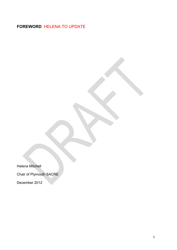### **FOREWORD** HELENA TO UPDATE

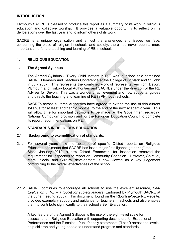#### **INTRODUCTION**

Plymouth SACRE is pleased to produce this report as a summary of its work in religious education and collective worship. It provides a valuable opportunity to reflect on its deliberations over the last year and to inform others of its work.

SACRE is a unique organisation and amidst the challenges and issues we face, concerning the place of religion in schools and society, there has never been a more important time for the teaching and learning of RE in schools.

#### **1. RELIGIOUS EDUCATION**

#### **1.1 The Agreed Syllabus**

The Agreed Syllabus - "Every Child Matters in RE" was launched at a combined SACRE Members and Teachers Conference at the College of St Mark and St John in July 2007. This represents the combined work of representatives from Devon, Plymouth and Torbay Local Authorities and SACREs under the direction of the RE Adviser for Devon. This was a wonderful achievement and now supports, guides and directs the teaching and learning of RE in Plymouth schools.

SACREs across all three Authorities have agreed to extend the use of this current syllabus for at least another 12 months, to the end of the next academic year. This will allow time for important decisions to be made by the Government regarding National Curriculum provision and for the Religious Education Council to complete its report/ recommendations on RE.

#### **2 STANDARDS IN RELIGIOUS EDUCATION**

#### **2.1 Background to exemplification of standards**.

- 2.1.1 For several years now the absence of specific Ofsted reports on Religious Education has meant that SACRE has lost a major "intelligence gathering" tool. Since January 2012, a new Ofsted Framework for Inspection removed the requirement for Inspectors to report on Community Cohesion. However, Spiritual, Moral, Social and Cultural development is now viewed as a key judgement contributing to the overall effectiveness of the school.
- 2.1.2 SACRE continues to encourage all schools to use the excellent resource, *Self-Evaluation in RE – a toolkit for subject leaders* (Endorsed by Plymouth SACRE at the June meeting 2006). This document, found on the REonline/betterRE website, provides exemplary support and guidance for teachers in schools and also enables them to contribute significantly to their school's Self Evaluation.

A key feature of the Agreed Syllabus is the use of the eight-level scale for assessment in Religious Education with supporting descriptors for Exceptional Performance and the P scales. Pupil-friendly statements ("I can") across the levels help children and young-people to understand progress and standards.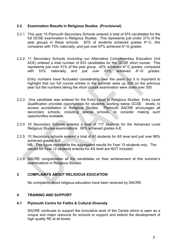#### **2.2 Examination Results in Religious Studies (Provisional)**

- 2.2.1 This year 15 Plymouth Secondary Schools entered a total of 974 candidates for the full GCSE examination in Religious Studies. This represents just under 37% of the year groups in these schools. 62% of students achieved grades A\*-C, this compares with 73% nationally, and just over 97% achieved A\*-G grades.
- 2.2.2 11 Secondary Schools (including our Alternative Complimentary Education Unit ACE) entered a total number of 633 candidates for the GCSE short course. This represents just over 31% of the year group. 42% achieved A\*-C grades, compared with 53% nationally and just over 93% achieved A\*-G grades.

Entry numbers have fluctuated considerably over the years but it is important to highlight that our full course entries in the summer were up 200 on the previous year but the numbers taking the short course examination were down over 300.

- 2.2.3 One candidate was entered for the Entry Level in Religious Studies. Entry Level Qualification provides opportunities for students, working below GCSE levels, to access accreditation in Religious Studies. Plymouth SACRE encourages all secondary schools, including special schools, to consider making such opportunities available.
- 2.2.4 10 Secondary Schools entered a total of 117 students for the Advanced Level Religious Studies examinations. 99% achieved grades A-E.
- 2.2.5 10 Secondary schools entered a total of 42 students for AS level and just over 88% achieved grades A-E. NB: This figure represents the aggregated results for Year 13 students only. The results for Year 12 students entered for AS level are NOT included.
- 2.2.6 SACRE congratulates all the candidates on their achievement at this summer's examinations in Religious Studies.

#### **3 COMPLAINTS ABOUT RELIGIOUS EDUCATION**

No complaints about religious education have been received by SACRE.

#### **4 TRAINING AND SUPPORT**

#### **4.1 Plymouth Centre for Faiths & Cultural Diversity**

SACRE continues to support the innovative work of the Centre which is seen as a unique and major resource for schools to support and extend the development of high quality RE at all levels.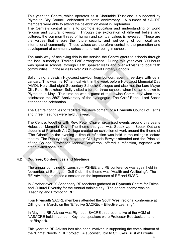This year the Centre, which operates as a Charitable Trust and is supported by Plymouth City Council, celebrated its tenth anniversary. A number of SACRE members were able to attend the celebration event in September.

The Centre's central aim is to promote education and understanding of world religion and cultural diversity. Through the exploration of different beliefs and cultures, the common thread of human and spiritual values is revealed. These are the values that ensure the future security and well-being of our local and international community. These values are therefore central to the promotion and development of community cohesion and well-being in schools.

The main way of achieving this is the service the Centre offers to schools through the local authority's 'Trading Fair' arrangement. During this year over 300 hours was spent in schools, through Faith Speaker visits and over 40 visits to local faith communities. Of these visits over 230 involved Primary Schools.

Solly Irving, a Jewish Holocaust survivor from London, spent three days with us in January. This was his 10<sup>th</sup> annual visit, in the week before Holocaust Memorial Day (HMD). He visited eight Secondary Schools/ Colleges and also met the Lord Mayor Cllr. Peter Brookshaw. Solly visited a further three schools when he came down to Plymouth in May. This time he was a guest of the Jewish Community when they celebrated the 250<sup>th</sup> Anniversary of the synagogue. The Chief Rabbi, Lord Sacks attended the celebration.

The Centre continues to facilitate the development of a Plymouth Council of Faiths and three meetings were held this year.

The Centre, together with Rev. Peter Chave, organised events around this year's Holocaust Memorial Day. The theme this year was Speak Up – Speak Out and students at Plymouth Art College created an exhibition of work around the theme of "The Others". In the evening a time of reflection was held in the college's lecture theatre. The Deputy Lady Mayoress Cllr. Lynda Bowyer attended and the Principal of the College, Professor Andrew Brewerton, offered a reflection, together with other invited speakers.

#### **4.2 Courses, Conferences and Meetings**

The annual combined Citizenship – PSHEE and RE conference was again held in November, at Boringdon Golf Club – the theme was "Health and Wellbeing". The RE Adviser contributed a session on the importance of RE and SMSC.

In October over 20 Secondary RE teachers gathered at Plymouth Centre for Faiths and Cultural Diversity for the Annual training day. The general theme was on 'Teaching and Promoting RE'.

Four Plymouth SACRE members attended the South West regional conference at Dillington in March, on the "Effective SACREs – Effective Learning".

In May, the RE Advisor was Plymouth SACRE's representative at the AGM of NASACRE held in London. Key note speakers were Professor Bob Jackson and Lat Blaylock.

This year the RE Adviser has also been involved in supporting the establishment of the "Unmet Needs in RE" project. A successful bid to St Lukes Trust will create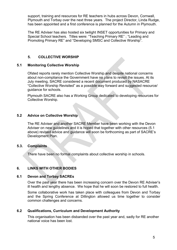support, training and resources for RE teachers in hubs across Devon, Cornwall, Plymouth and Torbay over the next three years. The project Director, Linda Rudge, has been appointed and a first conference is planned for the Autumn in Plymouth.

The RE Adviser has also hosted six twilight INSET opportunities for Primary and Special School teachers. Titles were: "Teaching Primary RE" ; "Leading and Promoting Primary RE" and "Developing SMSC and Collective Worship".

#### **5. COLLECTIVE WORSHIP**

#### **5.1 Monitoring Collective Worship**

Ofsted reports rarely mention Collective Worship and despite national concerns about non-compliance the Government have no plans to revisit the issues. At its July meeting, SACRE considered a recent document produced by NASACRE "Collective Worship Revisited" as a possible way forward and suggested resource/ guidance for schools.

Plymouth SACRE also has a Working Group dedicated to developing resources for Collective Worship.

#### **5.2 Advice on Collective Worship**

The RE Adviser and another SACRE Member have been working with the Devon Adviser on new guidelines and it is hoped that together with other resources (5.1 above) revised advice and guidance will soon be forthcoming as part of SACRE's Development Plan.

#### **5.3. Complaints**

There have been no formal complaints about collective worship in schools.

#### **6. LINKS WITH OTHER BODIES**

#### **6.1 Devon and Torbay SACREs**

Over the past year there has been increasing concern over the Devon RE Adviser's ill health and lengthy absence. We hope that he will soon be restored to full health.

Some collaborative work has taken place with colleagues from Devon and Torbay and the Spring Conference at Dillington allowed us time together to consider common challenges and concerns.

#### **6.2 Qualifications, Curriculum and Development Authority**

This organisation has been disbanded over the past year and, sadly for RE another national voice has been lost.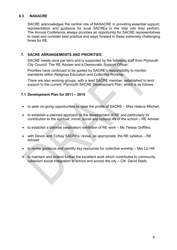#### **6.3 NASACRE**

SACRE acknowledges the central role of NASACRE in providing essential support, representation and guidance for local SACREs in the vital role they perform. The Annual Conference always provides an opportunity for SACRE representatives to meet and consider best practice and ways forward in these extremely challenging times for RE.

#### **7. SACRE ARRANGEMENTS AND PRIORITIES**

SACRE meets once per term and is supported by the following staff from Plymouth City Council: The RE Adviser and a Democratic Support Officer.

Priorities have continued to be guided by SACRE's responsibility to monitor standards within Religious Education and Collective Worship.

There are also working groups, with a lead SACRE member, established to lend support to the current Plymouth SACRE Development Plan, which is as follows:

#### **7.1 Development Plan for 2011 – 2014**

- to seek on-going opportunities to raise the profile of SACRE Miss Helena Mitchell;
- to establish a planned approach to the development of RE and particularly its contribution to the spiritual, moral, social and cultural life of the school – RE Adviser
- to establish a biennial celebration/ exhibition of RE work Ms Teresa Griffiths;
- with Devon and Torbay SACREs, revise, as appropriate, the RE syllabus RE Adviser
- to revise guidance and identify key resources for collective worship Mrs Liz Hill
- to maintain and extend further the excellent work which contributes to community cohesion/ social integration in school and across the city – Cllr. David Stark;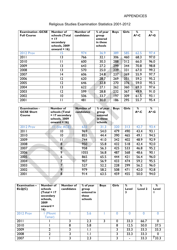| <b>Examination -GCSE</b> | Number of       | Number of  | % of year | <b>Boys</b> | <b>Girls</b> | ℅    | %        |
|--------------------------|-----------------|------------|-----------|-------------|--------------|------|----------|
| <b>Full Course</b>       | schools (Total  | candidates | group     |             |              | A*-C | $A^*$ -G |
|                          | $= 17$          |            | entered   |             |              |      |          |
|                          | secondary       |            | in these  |             |              |      |          |
|                          | schools, 2009   |            | schools   |             |              |      |          |
|                          | onward = $16$ ) |            |           |             |              |      |          |
| <b>2012 Prov</b>         | 15              | 974        | 36.9      | 389         | 585          | 62.5 | 97.4     |
| 2011                     | 13              | 766        | 32.1      | 306         | 460          | 68.3 | 97.0     |
| 2010                     | Н               | 600        | 30.3      | 288         | 312          | 66.0 | 96.0     |
| 2009                     | $\overline{3}$  | 643        | 27.2      | 299         | 344          | 70.8 | 98.8     |
| 2008                     | 13              | 570        | 25.0      | 239         | 331          | 67.0 | 99.2     |
| 2007                     | 14              | 606        | 24.8      | 237         | 369          | 55.9 | 97.7     |
| 2006                     | 12              | 620        | 28.7      | 269         | 351          | 59.2 | 95.2     |
| 2005                     | $\overline{2}$  | 646        | 32.8      | 270         | 376          | 59.0 | 95.5     |
| 2004                     | 13              | 622        | 27.1      | 262         | 360          | 69.3 | 97.6     |
| 2003                     | 2               | 599        | 28.8      | 232         | 367          | 49.9 | 91.0     |
| 2002                     | $\overline{0}$  | 506        | 33.7      | 197         | 309          | 61.5 | 93.I     |
| 2001                     | П               | 481        | 30.0      | 186         | 295          | 55.7 | 95.4     |
|                          |                 |            |           |             |              |      |          |

### Religious Studies Examination Statistics 2001-2012

| <b>Examination -</b><br><b>GCSE Short</b><br>Course | <b>Number of</b><br>schools (Total<br>$= 17$ secondary<br>schools, 2009<br>onward = $16$ ) | <b>Number of</b><br>candidates | % of year<br>group<br>entered<br>in these<br>schools | <b>Boys</b> | <b>Girls</b>     | $\overline{\mathcal{E}}$<br>A*-C | $\overline{\mathcal{E}}$<br>$A^*$ -G |
|-----------------------------------------------------|--------------------------------------------------------------------------------------------|--------------------------------|------------------------------------------------------|-------------|------------------|----------------------------------|--------------------------------------|
| <b>2012 Prov</b>                                    | (inc ACE)<br>11                                                                            | 633                            | 31.3                                                 | 320         | 313              | 42.7                             | 93.4                                 |
| 2011                                                | $\overline{10}$                                                                            | 969                            | 54.0                                                 | 479         | 490              | 43.4                             | 93.1                                 |
| 2010                                                | $\overline{0}$                                                                             | 855                            | 44.4                                                 | 390         | 465              | 49.I                             | 94.5                                 |
| 2009                                                | П                                                                                          | 744                            | 41.0                                                 | 342         | 402              | 48.9                             | 92.9                                 |
| 2008                                                | 8                                                                                          | 950                            | 55.8                                                 | 432         | $\overline{518}$ | 42.4                             | 92.0                                 |
| 2007                                                | 8                                                                                          | 958                            | 56.3                                                 | 425         | 533              | 46.8                             | 95.2                                 |
| 2006                                                | 9                                                                                          | 1055                           | 56.8                                                 | 487         | 568              | 48.6                             | 90.1                                 |
| 2005                                                | 6                                                                                          | 865                            | 65.5                                                 | 444         | 421              | 56.4                             | 96.0                                 |
| 2004                                                | 7                                                                                          | 907                            | 56.9                                                 | 433         | 474              | 59.2                             | 95.5                                 |
| 2003                                                | $\overline{7}$                                                                             | 527                            | 52.2                                                 | 228         | 299              | 56.2                             | 96.0                                 |
| 2002                                                | 9                                                                                          | 979                            | 58.2                                                 | 508         | 471              | 42.0                             | 92.8                                 |
| 2001                                                | $\overline{8}$                                                                             | 914                            | 63.5                                                 | 459         | 455              | 50.0                             | 94.0                                 |
|                                                     |                                                                                            |                                |                                                      |             |                  |                                  |                                      |

| <b>Examination -</b><br>ELQ(C) | <b>Number of</b><br>schools<br>$Total = 17$<br>secondary<br>schools,<br>2009<br>onward $=$<br>16) | Number of<br>candidates | % of year<br>group<br>entered in<br>these<br>schools | <b>Boys</b> | Girls    | %<br>Level<br>3 | %<br>Level 2 | %<br>Level  |
|--------------------------------|---------------------------------------------------------------------------------------------------|-------------------------|------------------------------------------------------|-------------|----------|-----------------|--------------|-------------|
| <b>2012 Prov</b>               | (Mount<br>Tamar)                                                                                  |                         | 5.6                                                  |             |          | O               |              |             |
| 2011                           |                                                                                                   |                         | 2.3                                                  | 3           | $\Omega$ | 33.3            | 66.7         | $\mathbf 0$ |
| 2010                           |                                                                                                   | 8                       | 5.8                                                  |             | 8        | 12.5            | 50.0         | 37.5        |
| 2009                           | $\mathbf{c}$                                                                                      | כ                       | I.I                                                  |             | 3        | 33.3            | 33.3         | 33.3        |
| 2008                           | $\mathcal{P}$                                                                                     |                         | L.I                                                  |             | 3        | 33.3            | 33.3         | $\Omega$    |
| 2007                           |                                                                                                   |                         | 2.3                                                  |             |          | $\blacksquare$  | 33.3         | 733.3       |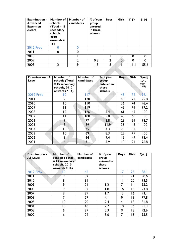| <b>Examination -</b><br><b>Advanced</b><br><b>Extension</b><br>Award | Number of<br><b>schools</b><br>$Total = 15$<br>secondary<br>schools,<br>2010<br>onwards $=$<br>16) | Number of<br>candidates | % of year<br>group<br>entered<br>in these<br>schools | <b>Boys</b>    | <b>Girls</b> | %D                     | %M   |
|----------------------------------------------------------------------|----------------------------------------------------------------------------------------------------|-------------------------|------------------------------------------------------|----------------|--------------|------------------------|------|
| <b>2012 Prov</b>                                                     |                                                                                                    |                         |                                                      |                |              |                        |      |
| 2011                                                                 |                                                                                                    |                         |                                                      |                |              |                        |      |
| 2010                                                                 |                                                                                                    |                         |                                                      |                | O            | 0                      |      |
| 2009                                                                 |                                                                                                    | າ                       | 0.8                                                  | $\overline{2}$ | $\mathbf 0$  | 0                      |      |
| 2008                                                                 |                                                                                                    | 9                       | 8. ا                                                 | 8              |              | $\mathbf{H}_{\bullet}$ | 55.6 |

| <b>Examination - A</b><br>Level | Number of<br>schools (Total<br>$= 15$ secondary<br>schools, 2010<br>onwards = $16$ ) | Number of<br>candidates | % of year<br>group<br>entered in<br>these<br>schools | <b>Boys</b>     | <b>Girls</b>    | $%A-E$<br>$(A*-E)$<br>from<br>2011) |
|---------------------------------|--------------------------------------------------------------------------------------|-------------------------|------------------------------------------------------|-----------------|-----------------|-------------------------------------|
| <b>2012 Prov</b>                | 0                                                                                    |                         |                                                      | 45              | $\overline{72}$ | 99.1                                |
| 2011                            | 9                                                                                    | 120                     |                                                      | 48              | 72              | 95.8                                |
| 2010                            | $\overline{0}$                                                                       | 110                     |                                                      | 36              | 74              | 96.4                                |
| 2009                            | 13                                                                                   | $ $  9                  |                                                      | 45              | 74              | 99.2                                |
| 2008                            | 12                                                                                   | 126                     | 5.4                                                  | 61              | 65              | 100                                 |
| 2007                            |                                                                                      | 108                     | 5.0                                                  | 48              | 60              | 100                                 |
| 2006                            | 9                                                                                    | 77                      | 8.8                                                  | 23              | 54              | 98.7                                |
| 2005                            | 8                                                                                    | 89                      | 11.9                                                 | 35              | 48              | 100                                 |
| 2004                            | 10                                                                                   | 75                      | 4.3                                                  | 23              | 52              | 100                                 |
| 2003                            | 10                                                                                   | 69                      | 8.3                                                  | $\overline{22}$ | 47              | 100                                 |
| 2002                            | 8                                                                                    | 64                      | 9.4                                                  | 15              | 49              | 98.4                                |
| 2001                            | 6                                                                                    | 3 <sub>1</sub>          | 5.9                                                  | 10              | 21              | 96.8                                |
|                                 |                                                                                      |                         |                                                      |                 |                 |                                     |

| <b>Examination -</b><br><b>AS Level</b> | Number of<br>schools (Total<br>$= 15$ secondary<br>schools, 2010<br>onwards = $16$ ) | Number of<br>candidates | % of year<br>group<br>entered in<br>these<br>schools | <b>Boys</b>    | <b>Girls</b>    | $%A-E$ |
|-----------------------------------------|--------------------------------------------------------------------------------------|-------------------------|------------------------------------------------------|----------------|-----------------|--------|
| <b>2012 Prov</b>                        | Ό                                                                                    | 42                      |                                                      |                | 25              | 88.1   |
| 2011                                    | 9                                                                                    | 32                      |                                                      | п              | 21              | 90.6   |
| 2010                                    | 8                                                                                    | 31                      |                                                      | Ħ              | $\overline{20}$ | 93.5   |
| 2009                                    | 9                                                                                    | 21                      | 1.2                                                  | 7              | 14              | 95.2   |
| 2008                                    | 9                                                                                    | 32                      | 8. ا                                                 | ۱6             | 16              | 93.8   |
| 2007                                    | 9                                                                                    | 29                      | l.7                                                  | 13             | 16              | 93.I   |
| 2006                                    | 7                                                                                    | 27                      | 4.1                                                  | 9              | 18              | 77.8   |
| 2005                                    | 10                                                                                   | 20                      | 2.4                                                  | 4              | 18              | 81.8   |
| 2004                                    | 10                                                                                   | 46                      | 2.7                                                  | $\overline{0}$ | 36              | 91.3   |
| 2003                                    | 6                                                                                    | 27                      | 5.3                                                  | 9              | 18              | 92.6   |
| 2002                                    | 6                                                                                    | 22                      | 3.6                                                  | 7              | 15              | 95.5   |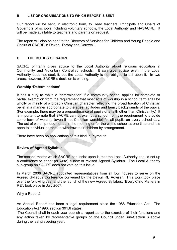#### **B LIST OF ORGANISATIONS TO WHICH REPORT IS SENT**

Our report will be sent, in electronic form, to Head teachers, Principals and Chairs of Governors of schools including voluntary schools, the Local Authority and NASACRE. It will be made available to teachers and parents on request.

The report will also be sent to the Directors of Services for Children and Young People and Chairs of SACRE in Devon, Torbay and Cornwall.

#### **C THE DUTIES OF SACRE**

SACRE primarily gives advice to the Local Authority about religious education in Community and Voluntary Controlled schools. It can give advice even if the Local Authority does not seek it, but the Local Authority is not obliged to act upon it. In two areas, however, SACRE's decision is binding.

#### **Worship 'Determinations'**

It has a duty to make a 'determination' if a community school applies for complete or partial exemption from the requirement that most acts of worship in a school term shall be wholly or mainly of a broadly Christian character reflecting the broad tradition of Christian belief in a manner appropriate to the ages, aptitudes and family backgrounds of the pupils. (For example, there may be a preponderance of pupils of a faith other than Christianity.) It is important to note that SACRE cannot exempt a school from the requirement to provide some form of worship (even if not Christian worship) for all pupils on every school day. The act of worship need not be in the morning or for the whole school at one time and it is open to individual parents to withdraw their children by arrangement.

There have been no applications of this kind in Plymouth.

#### **Review of Agreed Syllabus**

The second matter which SACRE can insist upon is that the Local Authority should set up a conference to adopt (or write) a new or revised Agreed Syllabus. The Local Authority sub-group on SACRE does not vote on this issue.

In March 2006 SACRE appointed representatives from all four houses to serve on the Agreed Syllabus Conference convened by the Devon RE Adviser. This work took place over the following year and the launch of the new Agreed Syllabus, "Every Child Matters in RE", took place in July 2007.

#### Why a Report?

An Annual Report has been a legal requirement since the 1988 Education Act. The Education Act 1996, section 391.6 states:

'The Council shall in each year publish a report as to the exercise of their functions and any action taken by representative groups on the Council under Sub-Section 3 above during the last preceding year.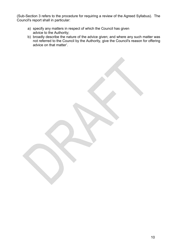(Sub-Section 3 refers to the procedure for requiring a review of the Agreed Syllabus). The Council's report shall in particular:

- a) specify any matters in respect of which the Council has given advice to the Authority;
- b) broadly describe the nature of the advice given; and where any such matter was not referred to the Council by the Authority, give the Council's reason for offering advice on that matter'.

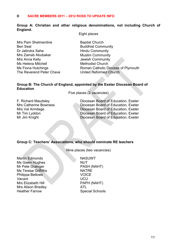#### **D SACRE MEMBERS 2011 – 2012 ROSS TO UPDATE INFO**

#### **Group A: Christian and other religious denominations, not including Church of England.**

Eight places

Mrs Pam Shelmerdine Baptist Church Ben Seal Buddhist Community Dr Jatindra Saha **Hindu Community** Mrs Zainab Abubakar Muslim Community Mrs Anna Kelly **Internal Community** Jewish Community Ms Helena Mitchell Methodist Church The Reverend Peter Chave **United Reformed Church** 

Ms Fiona Hutchings **Roman Catholic Diocese of Plymouth** 

#### **Group B: The Church of England, appointed by the Exeter Diocesan Board of Education**

Five places (2 vacancies)

F. Richard Maudsley Diocesan Board of Education, Exeter Mrs Catherine Bowness Diocesan Board of Education, Exeter Mrs Val Armitage **Diocesan Board of Education, Exeter** Mr Tim Lyddon **Diocesan Board of Education, Exeter** Mr Jim Knight **Diocesan Board of Education, Exeter** 

**Group C: Teachers' Associations, who should nominate RE teachers** 

Nine places (two vacancies)

Martin Edmonds NASUWT Ms Gwen Hughes NUT Mr Pete Grainger PASH (NAHT) Ms Teresa Griffiths **NATRE** Philippa Bellows **VOICE** *Vacant* UCU Mrs Elizabeth Hill PAPH (NAHT) Mrs Alison Bradley **ATL** Heather Farrow Special Schools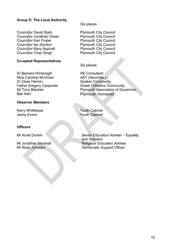#### **Group D: The Local Authority**

Councillor David Stark Plymouth City Council Councillor Jonathan Drean Plymouth City Council Councillor Ken Foster **Plymouth City Council** Councillor Ian Gordon Plymouth City Council Councillor Mary Aspinall Plymouth City Council Councillor Chaz Singh Plymouth City Council

#### **Co-opted Representatives**

Dr Barbara Wintersgill RE Consultant Miss Caroline McVicker AST (Secondary) Dr Clare Hamon Quaker Community

#### **Observer Members**

Kerry Whittlesea Youth Cabinet Jenny Evans **Youth Cabinet** 

#### **Officers**

Six places

Six places

Father Gregory Carpenter Greek Orthodox Community Mr Tony Blackler Plymouth Association of Governors<br>
Ren Kerr Plymouth Humanist Plymouth Humanist

Mr Arnet Donkin Senior Education Adviser – Equality and Inclusion Mr Jonathan Marshall Religious Education Adviser<br>Mr Ross Johnston Democratic Support Officer Democratic Support Officer